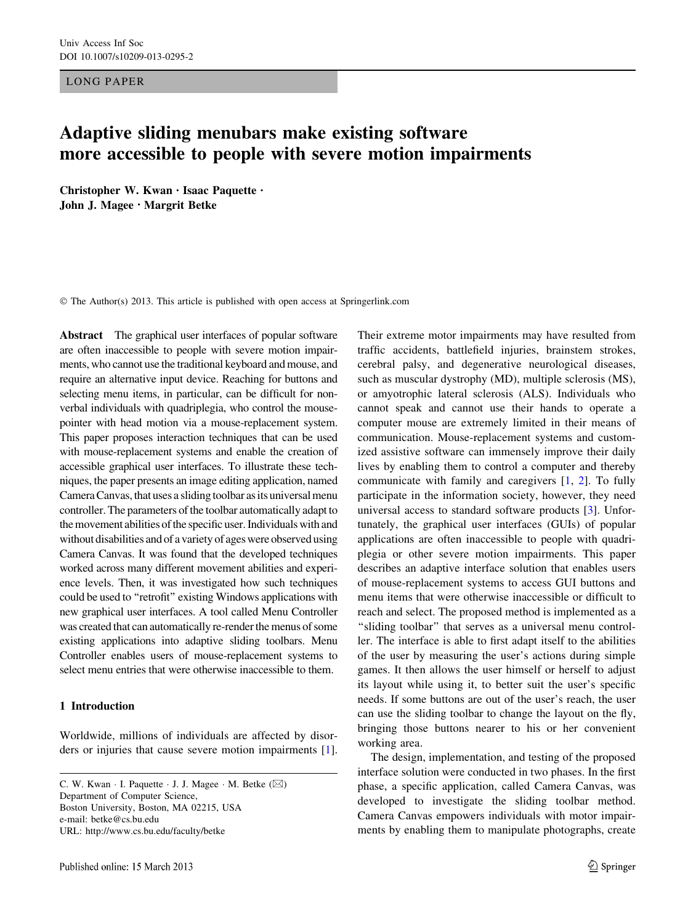LONG PAPER

# Adaptive sliding menubars make existing software more accessible to people with severe motion impairments

Christopher W. Kwan • Isaac Paquette • John J. Magee • Margrit Betke

© The Author(s) 2013. This article is published with open access at Springerlink.com

Abstract The graphical user interfaces of popular software are often inaccessible to people with severe motion impairments, who cannot use the traditional keyboard and mouse, and require an alternative input device. Reaching for buttons and selecting menu items, in particular, can be difficult for nonverbal individuals with quadriplegia, who control the mousepointer with head motion via a mouse-replacement system. This paper proposes interaction techniques that can be used with mouse-replacement systems and enable the creation of accessible graphical user interfaces. To illustrate these techniques, the paper presents an image editing application, named Camera Canvas, that uses a sliding toolbar as its universal menu controller. The parameters of the toolbar automatically adapt to the movement abilities of the specific user. Individuals with and without disabilities and of a variety of ages were observed using Camera Canvas. It was found that the developed techniques worked across many different movement abilities and experience levels. Then, it was investigated how such techniques could be used to ''retrofit'' existing Windows applications with new graphical user interfaces. A tool called Menu Controller was created that can automatically re-render the menus of some existing applications into adaptive sliding toolbars. Menu Controller enables users of mouse-replacement systems to select menu entries that were otherwise inaccessible to them.

## 1 Introduction

Worldwide, millions of individuals are affected by disorders or injuries that cause severe motion impairments [\[1](#page-15-0)].

Published online: 15 March 2013

Their extreme motor impairments may have resulted from traffic accidents, battlefield injuries, brainstem strokes, cerebral palsy, and degenerative neurological diseases, such as muscular dystrophy (MD), multiple sclerosis (MS), or amyotrophic lateral sclerosis (ALS). Individuals who cannot speak and cannot use their hands to operate a computer mouse are extremely limited in their means of communication. Mouse-replacement systems and customized assistive software can immensely improve their daily lives by enabling them to control a computer and thereby communicate with family and caregivers [[1,](#page-15-0) [2](#page-15-0)]. To fully participate in the information society, however, they need universal access to standard software products [[3\]](#page-15-0). Unfortunately, the graphical user interfaces (GUIs) of popular applications are often inaccessible to people with quadriplegia or other severe motion impairments. This paper describes an adaptive interface solution that enables users of mouse-replacement systems to access GUI buttons and menu items that were otherwise inaccessible or difficult to reach and select. The proposed method is implemented as a "sliding toolbar" that serves as a universal menu controller. The interface is able to first adapt itself to the abilities of the user by measuring the user's actions during simple games. It then allows the user himself or herself to adjust its layout while using it, to better suit the user's specific needs. If some buttons are out of the user's reach, the user can use the sliding toolbar to change the layout on the fly, bringing those buttons nearer to his or her convenient working area.

The design, implementation, and testing of the proposed interface solution were conducted in two phases. In the first phase, a specific application, called Camera Canvas, was developed to investigate the sliding toolbar method. Camera Canvas empowers individuals with motor impairments by enabling them to manipulate photographs, create

C. W. Kwan  $\cdot$  I. Paquette  $\cdot$  J. J. Magee  $\cdot$  M. Betke ( $\boxtimes$ ) Department of Computer Science, Boston University, Boston, MA 02215, USA e-mail: betke@cs.bu.edu URL: http://www.cs.bu.edu/faculty/betke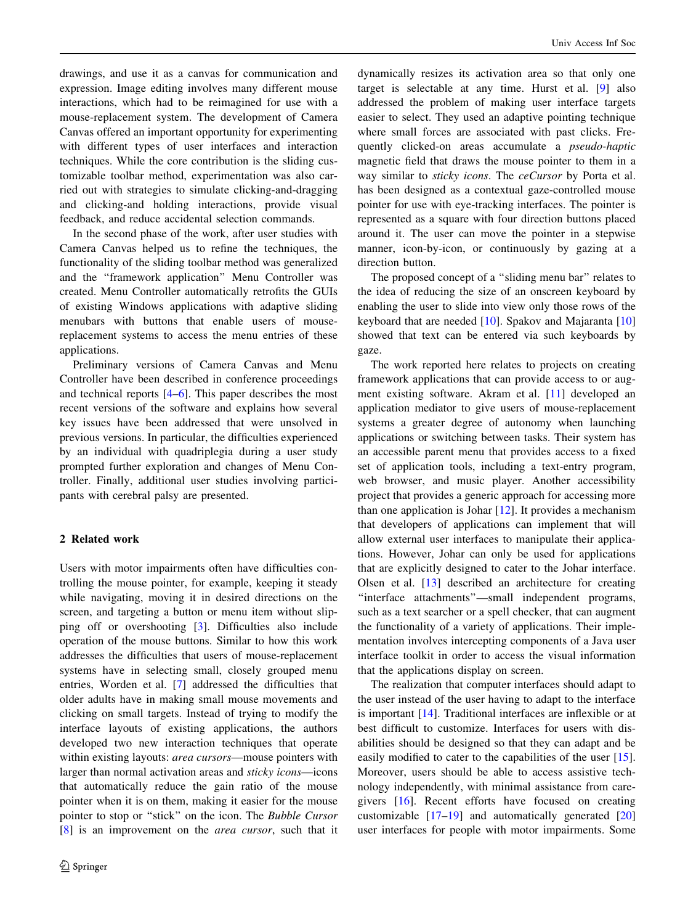drawings, and use it as a canvas for communication and expression. Image editing involves many different mouse interactions, which had to be reimagined for use with a mouse-replacement system. The development of Camera Canvas offered an important opportunity for experimenting with different types of user interfaces and interaction techniques. While the core contribution is the sliding customizable toolbar method, experimentation was also carried out with strategies to simulate clicking-and-dragging and clicking-and holding interactions, provide visual feedback, and reduce accidental selection commands.

In the second phase of the work, after user studies with Camera Canvas helped us to refine the techniques, the functionality of the sliding toolbar method was generalized and the ''framework application'' Menu Controller was created. Menu Controller automatically retrofits the GUIs of existing Windows applications with adaptive sliding menubars with buttons that enable users of mousereplacement systems to access the menu entries of these applications.

Preliminary versions of Camera Canvas and Menu Controller have been described in conference proceedings and technical reports [[4–6\]](#page-15-0). This paper describes the most recent versions of the software and explains how several key issues have been addressed that were unsolved in previous versions. In particular, the difficulties experienced by an individual with quadriplegia during a user study prompted further exploration and changes of Menu Controller. Finally, additional user studies involving participants with cerebral palsy are presented.

#### 2 Related work

Users with motor impairments often have difficulties controlling the mouse pointer, for example, keeping it steady while navigating, moving it in desired directions on the screen, and targeting a button or menu item without slipping off or overshooting [\[3](#page-15-0)]. Difficulties also include operation of the mouse buttons. Similar to how this work addresses the difficulties that users of mouse-replacement systems have in selecting small, closely grouped menu entries, Worden et al. [\[7](#page-15-0)] addressed the difficulties that older adults have in making small mouse movements and clicking on small targets. Instead of trying to modify the interface layouts of existing applications, the authors developed two new interaction techniques that operate within existing layouts: area cursors—mouse pointers with larger than normal activation areas and sticky icons—icons that automatically reduce the gain ratio of the mouse pointer when it is on them, making it easier for the mouse pointer to stop or ''stick'' on the icon. The Bubble Cursor [\[8](#page-15-0)] is an improvement on the area cursor, such that it dynamically resizes its activation area so that only one target is selectable at any time. Hurst et al. [[9\]](#page-15-0) also addressed the problem of making user interface targets easier to select. They used an adaptive pointing technique where small forces are associated with past clicks. Frequently clicked-on areas accumulate a pseudo-haptic magnetic field that draws the mouse pointer to them in a way similar to *sticky icons*. The *ceCursor* by Porta et al. has been designed as a contextual gaze-controlled mouse pointer for use with eye-tracking interfaces. The pointer is represented as a square with four direction buttons placed around it. The user can move the pointer in a stepwise manner, icon-by-icon, or continuously by gazing at a direction button.

The proposed concept of a "sliding menu bar" relates to the idea of reducing the size of an onscreen keyboard by enabling the user to slide into view only those rows of the keyboard that are needed  $[10]$  $[10]$ . Spakov and Majaranta  $[10]$ showed that text can be entered via such keyboards by gaze.

The work reported here relates to projects on creating framework applications that can provide access to or augment existing software. Akram et al. [[11\]](#page-15-0) developed an application mediator to give users of mouse-replacement systems a greater degree of autonomy when launching applications or switching between tasks. Their system has an accessible parent menu that provides access to a fixed set of application tools, including a text-entry program, web browser, and music player. Another accessibility project that provides a generic approach for accessing more than one application is Johar  $[12]$  $[12]$ . It provides a mechanism that developers of applications can implement that will allow external user interfaces to manipulate their applications. However, Johar can only be used for applications that are explicitly designed to cater to the Johar interface. Olsen et al. [\[13](#page-16-0)] described an architecture for creating ''interface attachments''—small independent programs, such as a text searcher or a spell checker, that can augment the functionality of a variety of applications. Their implementation involves intercepting components of a Java user interface toolkit in order to access the visual information that the applications display on screen.

The realization that computer interfaces should adapt to the user instead of the user having to adapt to the interface is important [\[14](#page-16-0)]. Traditional interfaces are inflexible or at best difficult to customize. Interfaces for users with disabilities should be designed so that they can adapt and be easily modified to cater to the capabilities of the user [\[15](#page-16-0)]. Moreover, users should be able to access assistive technology independently, with minimal assistance from caregivers [[16\]](#page-16-0). Recent efforts have focused on creating customizable [\[17–19](#page-16-0)] and automatically generated [[20\]](#page-16-0) user interfaces for people with motor impairments. Some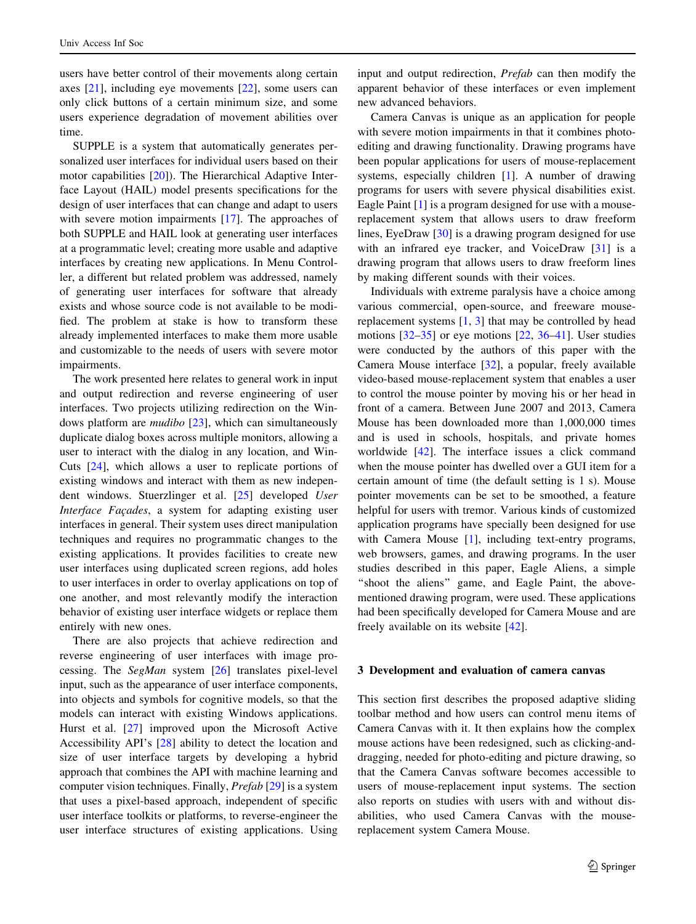users have better control of their movements along certain axes [[21\]](#page-16-0), including eye movements [\[22](#page-16-0)], some users can only click buttons of a certain minimum size, and some users experience degradation of movement abilities over time.

SUPPLE is a system that automatically generates personalized user interfaces for individual users based on their motor capabilities [\[20](#page-16-0)]). The Hierarchical Adaptive Interface Layout (HAIL) model presents specifications for the design of user interfaces that can change and adapt to users with severe motion impairments [\[17](#page-16-0)]. The approaches of both SUPPLE and HAIL look at generating user interfaces at a programmatic level; creating more usable and adaptive interfaces by creating new applications. In Menu Controller, a different but related problem was addressed, namely of generating user interfaces for software that already exists and whose source code is not available to be modified. The problem at stake is how to transform these already implemented interfaces to make them more usable and customizable to the needs of users with severe motor impairments.

The work presented here relates to general work in input and output redirection and reverse engineering of user interfaces. Two projects utilizing redirection on the Windows platform are mudibo [[23\]](#page-16-0), which can simultaneously duplicate dialog boxes across multiple monitors, allowing a user to interact with the dialog in any location, and Win-Cuts [[24\]](#page-16-0), which allows a user to replicate portions of existing windows and interact with them as new independent windows. Stuerzlinger et al. [\[25](#page-16-0)] developed User Interface Façades, a system for adapting existing user interfaces in general. Their system uses direct manipulation techniques and requires no programmatic changes to the existing applications. It provides facilities to create new user interfaces using duplicated screen regions, add holes to user interfaces in order to overlay applications on top of one another, and most relevantly modify the interaction behavior of existing user interface widgets or replace them entirely with new ones.

There are also projects that achieve redirection and reverse engineering of user interfaces with image processing. The SegMan system [\[26](#page-16-0)] translates pixel-level input, such as the appearance of user interface components, into objects and symbols for cognitive models, so that the models can interact with existing Windows applications. Hurst et al. [[27\]](#page-16-0) improved upon the Microsoft Active Accessibility API's [\[28](#page-16-0)] ability to detect the location and size of user interface targets by developing a hybrid approach that combines the API with machine learning and computer vision techniques. Finally, Prefab [[29\]](#page-16-0) is a system that uses a pixel-based approach, independent of specific user interface toolkits or platforms, to reverse-engineer the user interface structures of existing applications. Using input and output redirection, *Prefab* can then modify the apparent behavior of these interfaces or even implement new advanced behaviors.

Camera Canvas is unique as an application for people with severe motion impairments in that it combines photoediting and drawing functionality. Drawing programs have been popular applications for users of mouse-replacement systems, especially children [[1\]](#page-15-0). A number of drawing programs for users with severe physical disabilities exist. Eagle Paint [[1\]](#page-15-0) is a program designed for use with a mousereplacement system that allows users to draw freeform lines, EyeDraw [[30\]](#page-16-0) is a drawing program designed for use with an infrared eye tracker, and VoiceDraw [\[31](#page-16-0)] is a drawing program that allows users to draw freeform lines by making different sounds with their voices.

Individuals with extreme paralysis have a choice among various commercial, open-source, and freeware mousereplacement systems [\[1](#page-15-0), [3\]](#page-15-0) that may be controlled by head motions  $\left[32-35\right]$  $\left[32-35\right]$  $\left[32-35\right]$  or eye motions  $\left[22, 36-41\right]$  $\left[22, 36-41\right]$  $\left[22, 36-41\right]$ . User studies were conducted by the authors of this paper with the Camera Mouse interface [\[32](#page-16-0)], a popular, freely available video-based mouse-replacement system that enables a user to control the mouse pointer by moving his or her head in front of a camera. Between June 2007 and 2013, Camera Mouse has been downloaded more than 1,000,000 times and is used in schools, hospitals, and private homes worldwide [[42\]](#page-16-0). The interface issues a click command when the mouse pointer has dwelled over a GUI item for a certain amount of time (the default setting is 1 s). Mouse pointer movements can be set to be smoothed, a feature helpful for users with tremor. Various kinds of customized application programs have specially been designed for use with Camera Mouse [[1\]](#page-15-0), including text-entry programs, web browsers, games, and drawing programs. In the user studies described in this paper, Eagle Aliens, a simple "shoot the aliens" game, and Eagle Paint, the abovementioned drawing program, were used. These applications had been specifically developed for Camera Mouse and are freely available on its website [[42\]](#page-16-0).

#### 3 Development and evaluation of camera canvas

This section first describes the proposed adaptive sliding toolbar method and how users can control menu items of Camera Canvas with it. It then explains how the complex mouse actions have been redesigned, such as clicking-anddragging, needed for photo-editing and picture drawing, so that the Camera Canvas software becomes accessible to users of mouse-replacement input systems. The section also reports on studies with users with and without disabilities, who used Camera Canvas with the mousereplacement system Camera Mouse.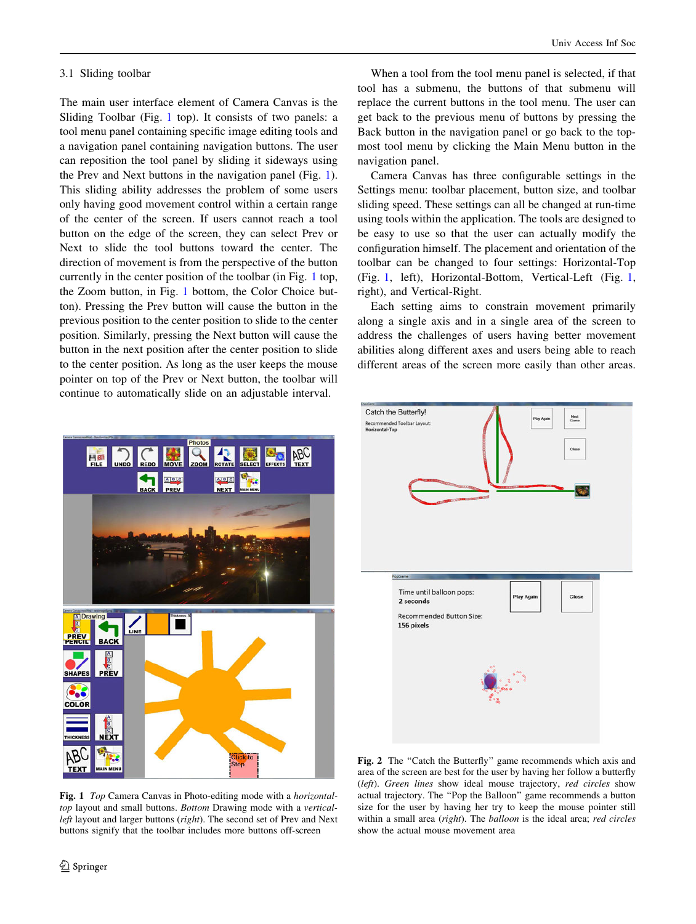#### <span id="page-3-0"></span>3.1 Sliding toolbar

The main user interface element of Camera Canvas is the Sliding Toolbar (Fig. 1 top). It consists of two panels: a tool menu panel containing specific image editing tools and a navigation panel containing navigation buttons. The user can reposition the tool panel by sliding it sideways using the Prev and Next buttons in the navigation panel (Fig. 1). This sliding ability addresses the problem of some users only having good movement control within a certain range of the center of the screen. If users cannot reach a tool button on the edge of the screen, they can select Prev or Next to slide the tool buttons toward the center. The direction of movement is from the perspective of the button currently in the center position of the toolbar (in Fig. 1 top, the Zoom button, in Fig. 1 bottom, the Color Choice button). Pressing the Prev button will cause the button in the previous position to the center position to slide to the center position. Similarly, pressing the Next button will cause the button in the next position after the center position to slide to the center position. As long as the user keeps the mouse pointer on top of the Prev or Next button, the toolbar will continue to automatically slide on an adjustable interval.



Fig. 1 Top Camera Canvas in Photo-editing mode with a *horizontal*top layout and small buttons. Bottom Drawing mode with a verticalleft layout and larger buttons (right). The second set of Prev and Next buttons signify that the toolbar includes more buttons off-screen

When a tool from the tool menu panel is selected, if that tool has a submenu, the buttons of that submenu will replace the current buttons in the tool menu. The user can get back to the previous menu of buttons by pressing the Back button in the navigation panel or go back to the topmost tool menu by clicking the Main Menu button in the navigation panel.

Camera Canvas has three configurable settings in the Settings menu: toolbar placement, button size, and toolbar sliding speed. These settings can all be changed at run-time using tools within the application. The tools are designed to be easy to use so that the user can actually modify the configuration himself. The placement and orientation of the toolbar can be changed to four settings: Horizontal-Top (Fig. 1, left), Horizontal-Bottom, Vertical-Left (Fig. 1, right), and Vertical-Right.

Each setting aims to constrain movement primarily along a single axis and in a single area of the screen to address the challenges of users having better movement abilities along different axes and users being able to reach different areas of the screen more easily than other areas.



Fig. 2 The "Catch the Butterfly" game recommends which axis and area of the screen are best for the user by having her follow a butterfly (left). Green lines show ideal mouse trajectory, red circles show actual trajectory. The ''Pop the Balloon'' game recommends a button size for the user by having her try to keep the mouse pointer still within a small area (right). The balloon is the ideal area; red circles show the actual mouse movement area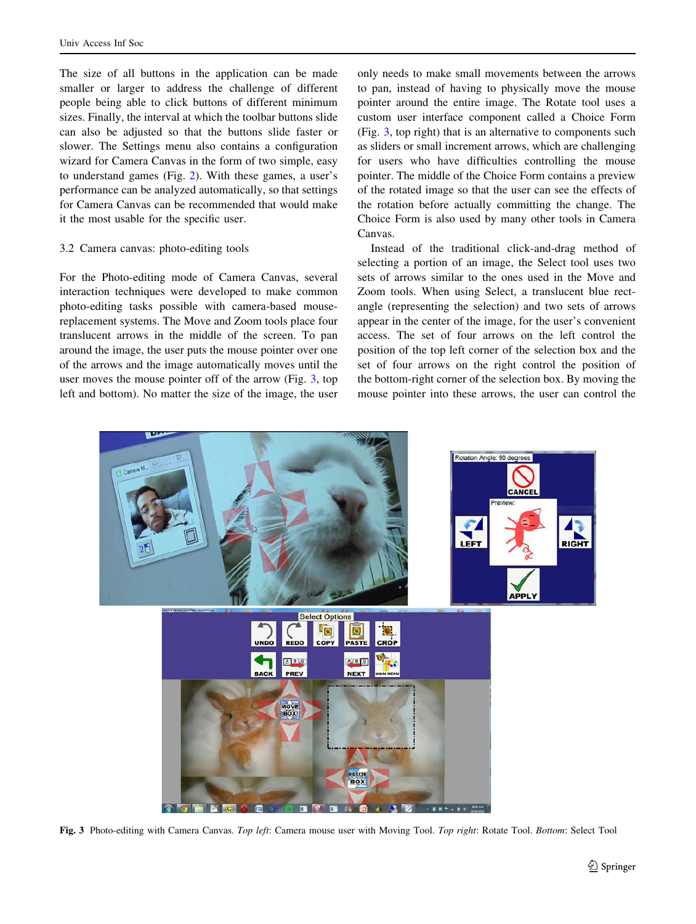The size of all buttons in the application can be made smaller or larger to address the challenge of different people being able to click buttons of different minimum sizes. Finally, the interval at which the toolbar buttons slide can also be adjusted so that the buttons slide faster or slower. The Settings menu also contains a configuration wizard for Camera Canvas in the form of two simple, easy to understand games (Fig. [2](#page-3-0)). With these games, a user's performance can be analyzed automatically, so that settings for Camera Canvas can be recommended that would make it the most usable for the specific user.

#### 3.2 Camera canvas: photo-editing tools

For the Photo-editing mode of Camera Canvas, several interaction techniques were developed to make common photo-editing tasks possible with camera-based mousereplacement systems. The Move and Zoom tools place four translucent arrows in the middle of the screen. To pan around the image, the user puts the mouse pointer over one of the arrows and the image automatically moves until the user moves the mouse pointer off of the arrow (Fig. 3, top left and bottom). No matter the size of the image, the user only needs to make small movements between the arrows to pan, instead of having to physically move the mouse pointer around the entire image. The Rotate tool uses a custom user interface component called a Choice Form (Fig. 3, top right) that is an alternative to components such as sliders or small increment arrows, which are challenging for users who have difficulties controlling the mouse pointer. The middle of the Choice Form contains a preview of the rotated image so that the user can see the effects of the rotation before actually committing the change. The Choice Form is also used by many other tools in Camera Canvas.

Instead of the traditional click-and-drag method of selecting a portion of an image, the Select tool uses two sets of arrows similar to the ones used in the Move and Zoom tools. When using Select, a translucent blue rectangle (representing the selection) and two sets of arrows appear in the center of the image, for the user's convenient access. The set of four arrows on the left control the position of the top left corner of the selection box and the set of four arrows on the right control the position of the bottom-right corner of the selection box. By moving the mouse pointer into these arrows, the user can control the



Fig. 3 Photo-editing with Camera Canvas. Top left: Camera mouse user with Moving Tool. Top right: Rotate Tool. Bottom: Select Tool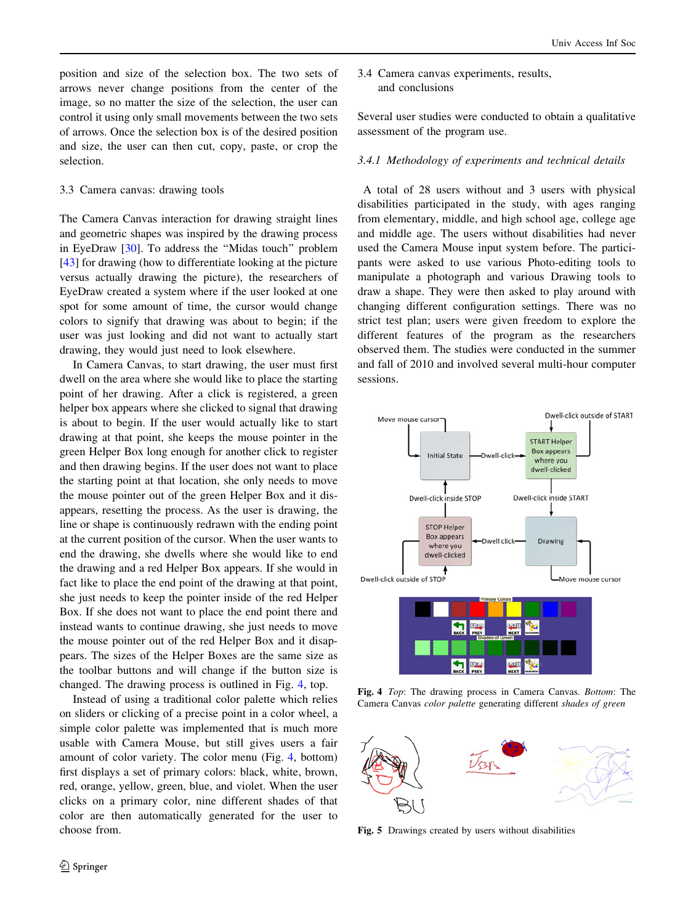<span id="page-5-0"></span>position and size of the selection box. The two sets of arrows never change positions from the center of the image, so no matter the size of the selection, the user can control it using only small movements between the two sets of arrows. Once the selection box is of the desired position and size, the user can then cut, copy, paste, or crop the selection.

### 3.3 Camera canvas: drawing tools

The Camera Canvas interaction for drawing straight lines and geometric shapes was inspired by the drawing process in EyeDraw [\[30](#page-16-0)]. To address the ''Midas touch'' problem [\[43](#page-16-0)] for drawing (how to differentiate looking at the picture versus actually drawing the picture), the researchers of EyeDraw created a system where if the user looked at one spot for some amount of time, the cursor would change colors to signify that drawing was about to begin; if the user was just looking and did not want to actually start drawing, they would just need to look elsewhere.

In Camera Canvas, to start drawing, the user must first dwell on the area where she would like to place the starting point of her drawing. After a click is registered, a green helper box appears where she clicked to signal that drawing is about to begin. If the user would actually like to start drawing at that point, she keeps the mouse pointer in the green Helper Box long enough for another click to register and then drawing begins. If the user does not want to place the starting point at that location, she only needs to move the mouse pointer out of the green Helper Box and it disappears, resetting the process. As the user is drawing, the line or shape is continuously redrawn with the ending point at the current position of the cursor. When the user wants to end the drawing, she dwells where she would like to end the drawing and a red Helper Box appears. If she would in fact like to place the end point of the drawing at that point, she just needs to keep the pointer inside of the red Helper Box. If she does not want to place the end point there and instead wants to continue drawing, she just needs to move the mouse pointer out of the red Helper Box and it disappears. The sizes of the Helper Boxes are the same size as the toolbar buttons and will change if the button size is changed. The drawing process is outlined in Fig. 4, top.

Instead of using a traditional color palette which relies on sliders or clicking of a precise point in a color wheel, a simple color palette was implemented that is much more usable with Camera Mouse, but still gives users a fair amount of color variety. The color menu (Fig. 4, bottom) first displays a set of primary colors: black, white, brown, red, orange, yellow, green, blue, and violet. When the user clicks on a primary color, nine different shades of that color are then automatically generated for the user to choose from.

## 3.4 Camera canvas experiments, results, and conclusions

Several user studies were conducted to obtain a qualitative assessment of the program use.

#### 3.4.1 Methodology of experiments and technical details

A total of 28 users without and 3 users with physical disabilities participated in the study, with ages ranging from elementary, middle, and high school age, college age and middle age. The users without disabilities had never used the Camera Mouse input system before. The participants were asked to use various Photo-editing tools to manipulate a photograph and various Drawing tools to draw a shape. They were then asked to play around with changing different configuration settings. There was no strict test plan; users were given freedom to explore the different features of the program as the researchers observed them. The studies were conducted in the summer and fall of 2010 and involved several multi-hour computer sessions.



Fig. 4 Top: The drawing process in Camera Canvas. Bottom: The Camera Canvas color palette generating different shades of green



Fig. 5 Drawings created by users without disabilities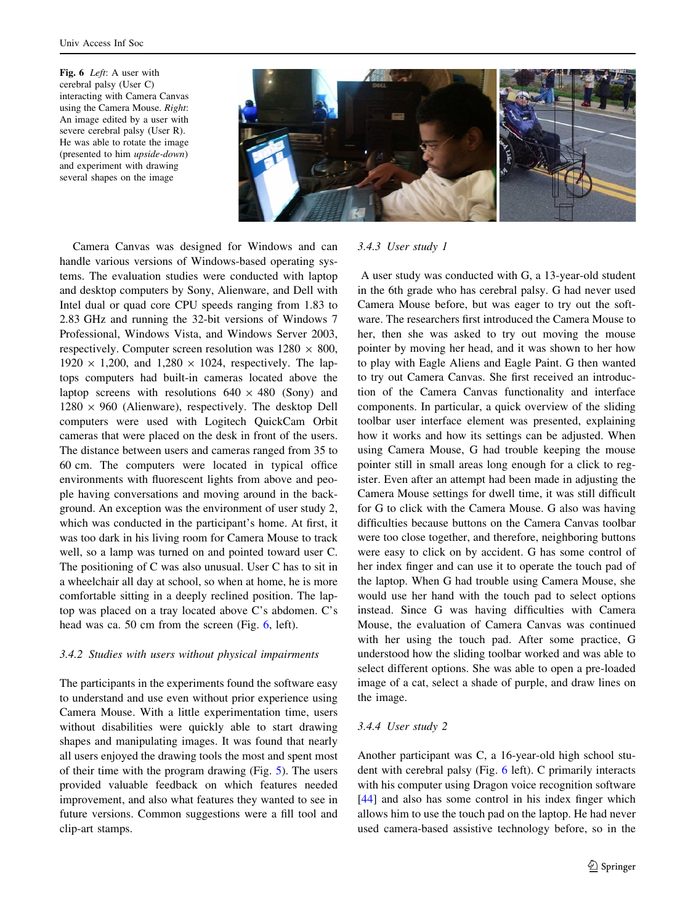<span id="page-6-0"></span>Fig. 6 Left: A user with cerebral palsy (User C) interacting with Camera Canvas using the Camera Mouse. Right: An image edited by a user with severe cerebral palsy (User R). He was able to rotate the image (presented to him upside-down) and experiment with drawing several shapes on the image



Camera Canvas was designed for Windows and can handle various versions of Windows-based operating systems. The evaluation studies were conducted with laptop and desktop computers by Sony, Alienware, and Dell with Intel dual or quad core CPU speeds ranging from 1.83 to 2.83 GHz and running the 32-bit versions of Windows 7 Professional, Windows Vista, and Windows Server 2003, respectively. Computer screen resolution was  $1280 \times 800$ , 1920  $\times$  1,200, and 1,280  $\times$  1024, respectively. The laptops computers had built-in cameras located above the laptop screens with resolutions  $640 \times 480$  (Sony) and  $1280 \times 960$  (Alienware), respectively. The desktop Dell computers were used with Logitech QuickCam Orbit cameras that were placed on the desk in front of the users. The distance between users and cameras ranged from 35 to 60 cm. The computers were located in typical office environments with fluorescent lights from above and people having conversations and moving around in the background. An exception was the environment of user study 2, which was conducted in the participant's home. At first, it was too dark in his living room for Camera Mouse to track well, so a lamp was turned on and pointed toward user C. The positioning of C was also unusual. User C has to sit in a wheelchair all day at school, so when at home, he is more comfortable sitting in a deeply reclined position. The laptop was placed on a tray located above C's abdomen. C's head was ca. 50 cm from the screen (Fig. 6, left).

#### 3.4.2 Studies with users without physical impairments

The participants in the experiments found the software easy to understand and use even without prior experience using Camera Mouse. With a little experimentation time, users without disabilities were quickly able to start drawing shapes and manipulating images. It was found that nearly all users enjoyed the drawing tools the most and spent most of their time with the program drawing (Fig. [5](#page-5-0)). The users provided valuable feedback on which features needed improvement, and also what features they wanted to see in future versions. Common suggestions were a fill tool and clip-art stamps.

3.4.3 User study 1

A user study was conducted with G, a 13-year-old student in the 6th grade who has cerebral palsy. G had never used Camera Mouse before, but was eager to try out the software. The researchers first introduced the Camera Mouse to her, then she was asked to try out moving the mouse pointer by moving her head, and it was shown to her how to play with Eagle Aliens and Eagle Paint. G then wanted to try out Camera Canvas. She first received an introduction of the Camera Canvas functionality and interface components. In particular, a quick overview of the sliding toolbar user interface element was presented, explaining how it works and how its settings can be adjusted. When using Camera Mouse, G had trouble keeping the mouse pointer still in small areas long enough for a click to register. Even after an attempt had been made in adjusting the Camera Mouse settings for dwell time, it was still difficult for G to click with the Camera Mouse. G also was having difficulties because buttons on the Camera Canvas toolbar were too close together, and therefore, neighboring buttons were easy to click on by accident. G has some control of her index finger and can use it to operate the touch pad of the laptop. When G had trouble using Camera Mouse, she would use her hand with the touch pad to select options instead. Since G was having difficulties with Camera Mouse, the evaluation of Camera Canvas was continued with her using the touch pad. After some practice, G understood how the sliding toolbar worked and was able to select different options. She was able to open a pre-loaded image of a cat, select a shade of purple, and draw lines on the image.

#### 3.4.4 User study 2

Another participant was C, a 16-year-old high school student with cerebral palsy (Fig. 6 left). C primarily interacts with his computer using Dragon voice recognition software [\[44](#page-16-0)] and also has some control in his index finger which allows him to use the touch pad on the laptop. He had never used camera-based assistive technology before, so in the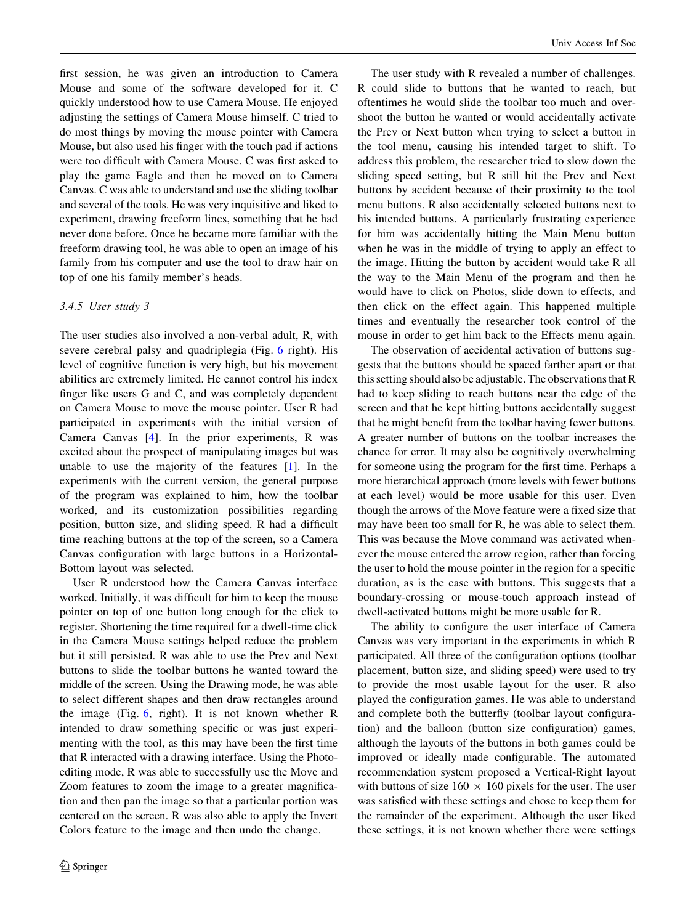first session, he was given an introduction to Camera Mouse and some of the software developed for it. C quickly understood how to use Camera Mouse. He enjoyed adjusting the settings of Camera Mouse himself. C tried to do most things by moving the mouse pointer with Camera Mouse, but also used his finger with the touch pad if actions were too difficult with Camera Mouse. C was first asked to play the game Eagle and then he moved on to Camera Canvas. C was able to understand and use the sliding toolbar and several of the tools. He was very inquisitive and liked to experiment, drawing freeform lines, something that he had never done before. Once he became more familiar with the freeform drawing tool, he was able to open an image of his family from his computer and use the tool to draw hair on top of one his family member's heads.

#### 3.4.5 User study 3

The user studies also involved a non-verbal adult, R, with severe cerebral palsy and quadriplegia (Fig. [6](#page-6-0) right). His level of cognitive function is very high, but his movement abilities are extremely limited. He cannot control his index finger like users G and C, and was completely dependent on Camera Mouse to move the mouse pointer. User R had participated in experiments with the initial version of Camera Canvas [\[4](#page-15-0)]. In the prior experiments, R was excited about the prospect of manipulating images but was unable to use the majority of the features [\[1](#page-15-0)]. In the experiments with the current version, the general purpose of the program was explained to him, how the toolbar worked, and its customization possibilities regarding position, button size, and sliding speed. R had a difficult time reaching buttons at the top of the screen, so a Camera Canvas configuration with large buttons in a Horizontal-Bottom layout was selected.

User R understood how the Camera Canvas interface worked. Initially, it was difficult for him to keep the mouse pointer on top of one button long enough for the click to register. Shortening the time required for a dwell-time click in the Camera Mouse settings helped reduce the problem but it still persisted. R was able to use the Prev and Next buttons to slide the toolbar buttons he wanted toward the middle of the screen. Using the Drawing mode, he was able to select different shapes and then draw rectangles around the image (Fig. [6,](#page-6-0) right). It is not known whether R intended to draw something specific or was just experimenting with the tool, as this may have been the first time that R interacted with a drawing interface. Using the Photoediting mode, R was able to successfully use the Move and Zoom features to zoom the image to a greater magnification and then pan the image so that a particular portion was centered on the screen. R was also able to apply the Invert Colors feature to the image and then undo the change.

The user study with R revealed a number of challenges. R could slide to buttons that he wanted to reach, but oftentimes he would slide the toolbar too much and overshoot the button he wanted or would accidentally activate the Prev or Next button when trying to select a button in the tool menu, causing his intended target to shift. To address this problem, the researcher tried to slow down the sliding speed setting, but R still hit the Prev and Next buttons by accident because of their proximity to the tool menu buttons. R also accidentally selected buttons next to his intended buttons. A particularly frustrating experience for him was accidentally hitting the Main Menu button when he was in the middle of trying to apply an effect to the image. Hitting the button by accident would take R all the way to the Main Menu of the program and then he would have to click on Photos, slide down to effects, and then click on the effect again. This happened multiple times and eventually the researcher took control of the mouse in order to get him back to the Effects menu again.

The observation of accidental activation of buttons suggests that the buttons should be spaced farther apart or that this setting should also be adjustable. The observations that R had to keep sliding to reach buttons near the edge of the screen and that he kept hitting buttons accidentally suggest that he might benefit from the toolbar having fewer buttons. A greater number of buttons on the toolbar increases the chance for error. It may also be cognitively overwhelming for someone using the program for the first time. Perhaps a more hierarchical approach (more levels with fewer buttons at each level) would be more usable for this user. Even though the arrows of the Move feature were a fixed size that may have been too small for R, he was able to select them. This was because the Move command was activated whenever the mouse entered the arrow region, rather than forcing the user to hold the mouse pointer in the region for a specific duration, as is the case with buttons. This suggests that a boundary-crossing or mouse-touch approach instead of dwell-activated buttons might be more usable for R.

The ability to configure the user interface of Camera Canvas was very important in the experiments in which R participated. All three of the configuration options (toolbar placement, button size, and sliding speed) were used to try to provide the most usable layout for the user. R also played the configuration games. He was able to understand and complete both the butterfly (toolbar layout configuration) and the balloon (button size configuration) games, although the layouts of the buttons in both games could be improved or ideally made configurable. The automated recommendation system proposed a Vertical-Right layout with buttons of size  $160 \times 160$  pixels for the user. The user was satisfied with these settings and chose to keep them for the remainder of the experiment. Although the user liked these settings, it is not known whether there were settings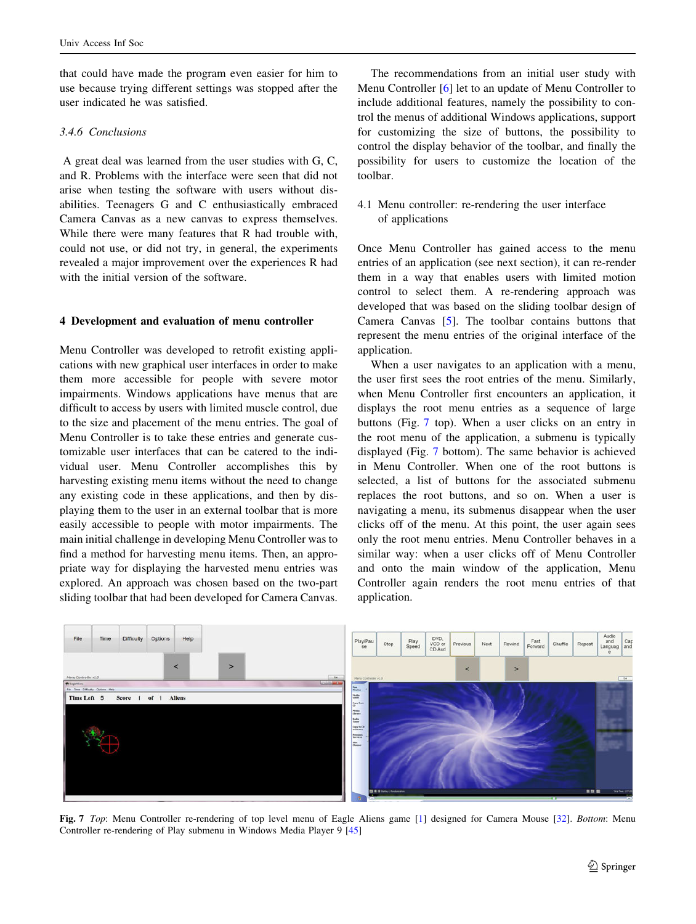<span id="page-8-0"></span>that could have made the program even easier for him to use because trying different settings was stopped after the user indicated he was satisfied.

## 3.4.6 Conclusions

A great deal was learned from the user studies with G, C, and R. Problems with the interface were seen that did not arise when testing the software with users without disabilities. Teenagers G and C enthusiastically embraced Camera Canvas as a new canvas to express themselves. While there were many features that R had trouble with, could not use, or did not try, in general, the experiments revealed a major improvement over the experiences R had with the initial version of the software.

### 4 Development and evaluation of menu controller

Menu Controller was developed to retrofit existing applications with new graphical user interfaces in order to make them more accessible for people with severe motor impairments. Windows applications have menus that are difficult to access by users with limited muscle control, due to the size and placement of the menu entries. The goal of Menu Controller is to take these entries and generate customizable user interfaces that can be catered to the individual user. Menu Controller accomplishes this by harvesting existing menu items without the need to change any existing code in these applications, and then by displaying them to the user in an external toolbar that is more easily accessible to people with motor impairments. The main initial challenge in developing Menu Controller was to find a method for harvesting menu items. Then, an appropriate way for displaying the harvested menu entries was explored. An approach was chosen based on the two-part sliding toolbar that had been developed for Camera Canvas.

The recommendations from an initial user study with Menu Controller [\[6](#page-15-0)] let to an update of Menu Controller to include additional features, namely the possibility to control the menus of additional Windows applications, support for customizing the size of buttons, the possibility to control the display behavior of the toolbar, and finally the possibility for users to customize the location of the toolbar.

## 4.1 Menu controller: re-rendering the user interface of applications

Once Menu Controller has gained access to the menu entries of an application (see next section), it can re-render them in a way that enables users with limited motion control to select them. A re-rendering approach was developed that was based on the sliding toolbar design of Camera Canvas [[5\]](#page-15-0). The toolbar contains buttons that represent the menu entries of the original interface of the application.

When a user navigates to an application with a menu, the user first sees the root entries of the menu. Similarly, when Menu Controller first encounters an application, it displays the root menu entries as a sequence of large buttons (Fig. 7 top). When a user clicks on an entry in the root menu of the application, a submenu is typically displayed (Fig. 7 bottom). The same behavior is achieved in Menu Controller. When one of the root buttons is selected, a list of buttons for the associated submenu replaces the root buttons, and so on. When a user is navigating a menu, its submenus disappear when the user clicks off of the menu. At this point, the user again sees only the root menu entries. Menu Controller behaves in a similar way: when a user clicks off of Menu Controller and onto the main window of the application, Menu Controller again renders the root menu entries of that application.



Fig. 7 Top: Menu Controller re-rendering of top level menu of Eagle Aliens game [\[1](#page-15-0)] designed for Camera Mouse [[32](#page-16-0)]. Bottom: Menu Controller re-rendering of Play submenu in Windows Media Player 9 [\[45\]](#page-16-0)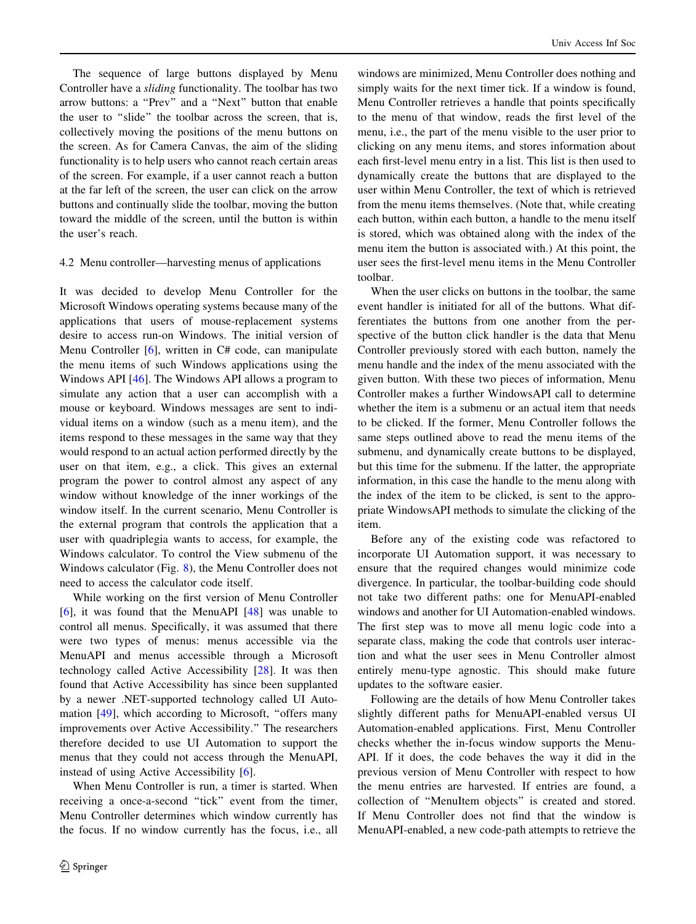The sequence of large buttons displayed by Menu Controller have a sliding functionality. The toolbar has two arrow buttons: a ''Prev'' and a ''Next'' button that enable the user to ''slide'' the toolbar across the screen, that is, collectively moving the positions of the menu buttons on the screen. As for Camera Canvas, the aim of the sliding functionality is to help users who cannot reach certain areas of the screen. For example, if a user cannot reach a button at the far left of the screen, the user can click on the arrow buttons and continually slide the toolbar, moving the button toward the middle of the screen, until the button is within the user's reach.

#### 4.2 Menu controller—harvesting menus of applications

It was decided to develop Menu Controller for the Microsoft Windows operating systems because many of the applications that users of mouse-replacement systems desire to access run-on Windows. The initial version of Menu Controller [[6\]](#page-15-0), written in C# code, can manipulate the menu items of such Windows applications using the Windows API [[46\]](#page-16-0). The Windows API allows a program to simulate any action that a user can accomplish with a mouse or keyboard. Windows messages are sent to individual items on a window (such as a menu item), and the items respond to these messages in the same way that they would respond to an actual action performed directly by the user on that item, e.g., a click. This gives an external program the power to control almost any aspect of any window without knowledge of the inner workings of the window itself. In the current scenario, Menu Controller is the external program that controls the application that a user with quadriplegia wants to access, for example, the Windows calculator. To control the View submenu of the Windows calculator (Fig. [8\)](#page-10-0), the Menu Controller does not need to access the calculator code itself.

While working on the first version of Menu Controller [\[6](#page-15-0)], it was found that the MenuAPI [[48\]](#page-17-0) was unable to control all menus. Specifically, it was assumed that there were two types of menus: menus accessible via the MenuAPI and menus accessible through a Microsoft technology called Active Accessibility [\[28](#page-16-0)]. It was then found that Active Accessibility has since been supplanted by a newer .NET-supported technology called UI Auto-mation [[49\]](#page-17-0), which according to Microsoft, "offers many improvements over Active Accessibility.'' The researchers therefore decided to use UI Automation to support the menus that they could not access through the MenuAPI, instead of using Active Accessibility [\[6](#page-15-0)].

When Menu Controller is run, a timer is started. When receiving a once-a-second "tick" event from the timer, Menu Controller determines which window currently has the focus. If no window currently has the focus, i.e., all

windows are minimized, Menu Controller does nothing and simply waits for the next timer tick. If a window is found, Menu Controller retrieves a handle that points specifically to the menu of that window, reads the first level of the menu, i.e., the part of the menu visible to the user prior to clicking on any menu items, and stores information about each first-level menu entry in a list. This list is then used to dynamically create the buttons that are displayed to the user within Menu Controller, the text of which is retrieved from the menu items themselves. (Note that, while creating each button, within each button, a handle to the menu itself is stored, which was obtained along with the index of the menu item the button is associated with.) At this point, the user sees the first-level menu items in the Menu Controller toolbar.

When the user clicks on buttons in the toolbar, the same event handler is initiated for all of the buttons. What differentiates the buttons from one another from the perspective of the button click handler is the data that Menu Controller previously stored with each button, namely the menu handle and the index of the menu associated with the given button. With these two pieces of information, Menu Controller makes a further WindowsAPI call to determine whether the item is a submenu or an actual item that needs to be clicked. If the former, Menu Controller follows the same steps outlined above to read the menu items of the submenu, and dynamically create buttons to be displayed, but this time for the submenu. If the latter, the appropriate information, in this case the handle to the menu along with the index of the item to be clicked, is sent to the appropriate WindowsAPI methods to simulate the clicking of the item.

Before any of the existing code was refactored to incorporate UI Automation support, it was necessary to ensure that the required changes would minimize code divergence. In particular, the toolbar-building code should not take two different paths: one for MenuAPI-enabled windows and another for UI Automation-enabled windows. The first step was to move all menu logic code into a separate class, making the code that controls user interaction and what the user sees in Menu Controller almost entirely menu-type agnostic. This should make future updates to the software easier.

Following are the details of how Menu Controller takes slightly different paths for MenuAPI-enabled versus UI Automation-enabled applications. First, Menu Controller checks whether the in-focus window supports the Menu-API. If it does, the code behaves the way it did in the previous version of Menu Controller with respect to how the menu entries are harvested. If entries are found, a collection of ''MenuItem objects'' is created and stored. If Menu Controller does not find that the window is MenuAPI-enabled, a new code-path attempts to retrieve the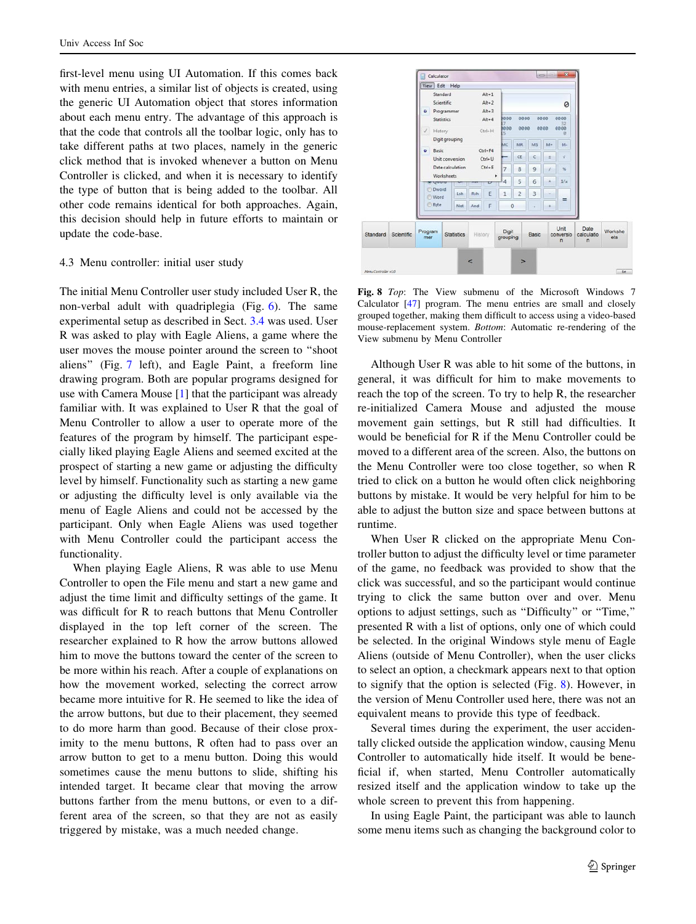<span id="page-10-0"></span>first-level menu using UI Automation. If this comes back with menu entries, a similar list of objects is created, using the generic UI Automation object that stores information about each menu entry. The advantage of this approach is that the code that controls all the toolbar logic, only has to take different paths at two places, namely in the generic click method that is invoked whenever a button on Menu Controller is clicked, and when it is necessary to identify the type of button that is being added to the toolbar. All other code remains identical for both approaches. Again, this decision should help in future efforts to maintain or update the code-base.

#### 4.3 Menu controller: initial user study

The initial Menu Controller user study included User R, the non-verbal adult with quadriplegia (Fig. [6\)](#page-6-0). The same experimental setup as described in Sect. [3.4](#page-5-0) was used. User R was asked to play with Eagle Aliens, a game where the user moves the mouse pointer around the screen to ''shoot aliens'' (Fig. [7](#page-8-0) left), and Eagle Paint, a freeform line drawing program. Both are popular programs designed for use with Camera Mouse [\[1](#page-15-0)] that the participant was already familiar with. It was explained to User R that the goal of Menu Controller to allow a user to operate more of the features of the program by himself. The participant especially liked playing Eagle Aliens and seemed excited at the prospect of starting a new game or adjusting the difficulty level by himself. Functionality such as starting a new game or adjusting the difficulty level is only available via the menu of Eagle Aliens and could not be accessed by the participant. Only when Eagle Aliens was used together with Menu Controller could the participant access the functionality.

When playing Eagle Aliens, R was able to use Menu Controller to open the File menu and start a new game and adjust the time limit and difficulty settings of the game. It was difficult for R to reach buttons that Menu Controller displayed in the top left corner of the screen. The researcher explained to R how the arrow buttons allowed him to move the buttons toward the center of the screen to be more within his reach. After a couple of explanations on how the movement worked, selecting the correct arrow became more intuitive for R. He seemed to like the idea of the arrow buttons, but due to their placement, they seemed to do more harm than good. Because of their close proximity to the menu buttons, R often had to pass over an arrow button to get to a menu button. Doing this would sometimes cause the menu buttons to slide, shifting his intended target. It became clear that moving the arrow buttons farther from the menu buttons, or even to a different area of the screen, so that they are not as easily triggered by mistake, was a much needed change.



Fig. 8 Top: The View submenu of the Microsoft Windows 7 Calculator [[47](#page-17-0)] program. The menu entries are small and closely grouped together, making them difficult to access using a video-based mouse-replacement system. Bottom: Automatic re-rendering of the View submenu by Menu Controller

Although User R was able to hit some of the buttons, in general, it was difficult for him to make movements to reach the top of the screen. To try to help R, the researcher re-initialized Camera Mouse and adjusted the mouse movement gain settings, but R still had difficulties. It would be beneficial for R if the Menu Controller could be moved to a different area of the screen. Also, the buttons on the Menu Controller were too close together, so when R tried to click on a button he would often click neighboring buttons by mistake. It would be very helpful for him to be able to adjust the button size and space between buttons at runtime.

When User R clicked on the appropriate Menu Controller button to adjust the difficulty level or time parameter of the game, no feedback was provided to show that the click was successful, and so the participant would continue trying to click the same button over and over. Menu options to adjust settings, such as ''Difficulty'' or ''Time,'' presented R with a list of options, only one of which could be selected. In the original Windows style menu of Eagle Aliens (outside of Menu Controller), when the user clicks to select an option, a checkmark appears next to that option to signify that the option is selected (Fig. 8). However, in the version of Menu Controller used here, there was not an equivalent means to provide this type of feedback.

Several times during the experiment, the user accidentally clicked outside the application window, causing Menu Controller to automatically hide itself. It would be beneficial if, when started, Menu Controller automatically resized itself and the application window to take up the whole screen to prevent this from happening.

In using Eagle Paint, the participant was able to launch some menu items such as changing the background color to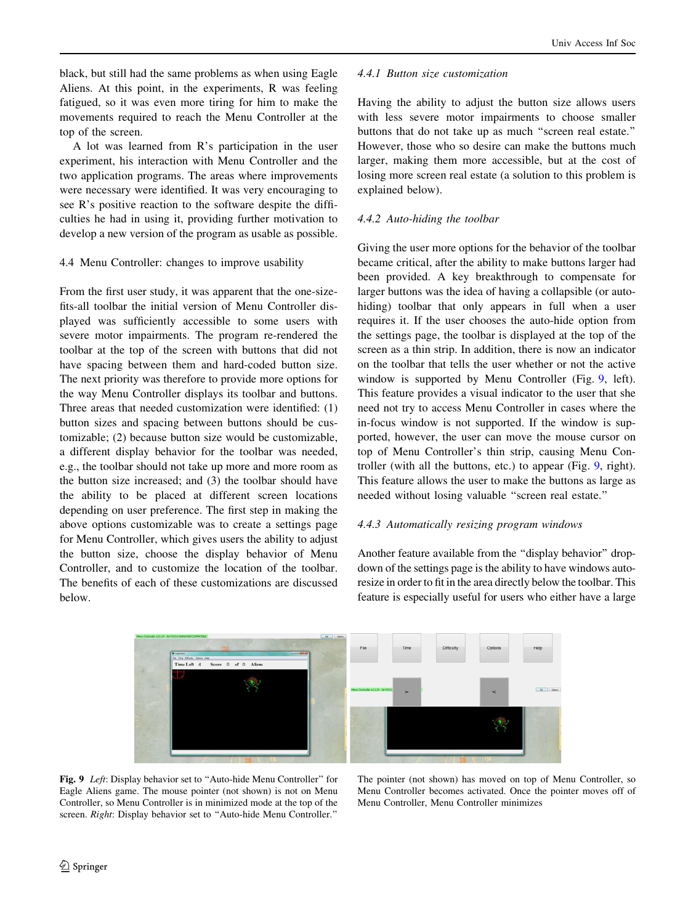<span id="page-11-0"></span>black, but still had the same problems as when using Eagle Aliens. At this point, in the experiments, R was feeling fatigued, so it was even more tiring for him to make the movements required to reach the Menu Controller at the top of the screen.

A lot was learned from R's participation in the user experiment, his interaction with Menu Controller and the two application programs. The areas where improvements were necessary were identified. It was very encouraging to see R's positive reaction to the software despite the difficulties he had in using it, providing further motivation to develop a new version of the program as usable as possible.

## 4.4 Menu Controller: changes to improve usability

From the first user study, it was apparent that the one-sizefits-all toolbar the initial version of Menu Controller displayed was sufficiently accessible to some users with severe motor impairments. The program re-rendered the toolbar at the top of the screen with buttons that did not have spacing between them and hard-coded button size. The next priority was therefore to provide more options for the way Menu Controller displays its toolbar and buttons. Three areas that needed customization were identified: (1) button sizes and spacing between buttons should be customizable; (2) because button size would be customizable, a different display behavior for the toolbar was needed, e.g., the toolbar should not take up more and more room as the button size increased; and (3) the toolbar should have the ability to be placed at different screen locations depending on user preference. The first step in making the above options customizable was to create a settings page for Menu Controller, which gives users the ability to adjust the button size, choose the display behavior of Menu Controller, and to customize the location of the toolbar. The benefits of each of these customizations are discussed below.

## 4.4.1 Button size customization

Having the ability to adjust the button size allows users with less severe motor impairments to choose smaller buttons that do not take up as much ''screen real estate.'' However, those who so desire can make the buttons much larger, making them more accessible, but at the cost of losing more screen real estate (a solution to this problem is explained below).

## 4.4.2 Auto-hiding the toolbar

Giving the user more options for the behavior of the toolbar became critical, after the ability to make buttons larger had been provided. A key breakthrough to compensate for larger buttons was the idea of having a collapsible (or autohiding) toolbar that only appears in full when a user requires it. If the user chooses the auto-hide option from the settings page, the toolbar is displayed at the top of the screen as a thin strip. In addition, there is now an indicator on the toolbar that tells the user whether or not the active window is supported by Menu Controller (Fig. 9, left). This feature provides a visual indicator to the user that she need not try to access Menu Controller in cases where the in-focus window is not supported. If the window is supported, however, the user can move the mouse cursor on top of Menu Controller's thin strip, causing Menu Controller (with all the buttons, etc.) to appear (Fig. 9, right). This feature allows the user to make the buttons as large as needed without losing valuable ''screen real estate.''

## 4.4.3 Automatically resizing program windows

Another feature available from the ''display behavior'' dropdown of the settings page is the ability to have windows autoresize in order to fit in the area directly below the toolbar. This feature is especially useful for users who either have a large



Fig. 9 Left: Display behavior set to "Auto-hide Menu Controller" for Eagle Aliens game. The mouse pointer (not shown) is not on Menu Controller, so Menu Controller is in minimized mode at the top of the screen. Right: Display behavior set to ''Auto-hide Menu Controller.''

The pointer (not shown) has moved on top of Menu Controller, so Menu Controller becomes activated. Once the pointer moves off of Menu Controller, Menu Controller minimizes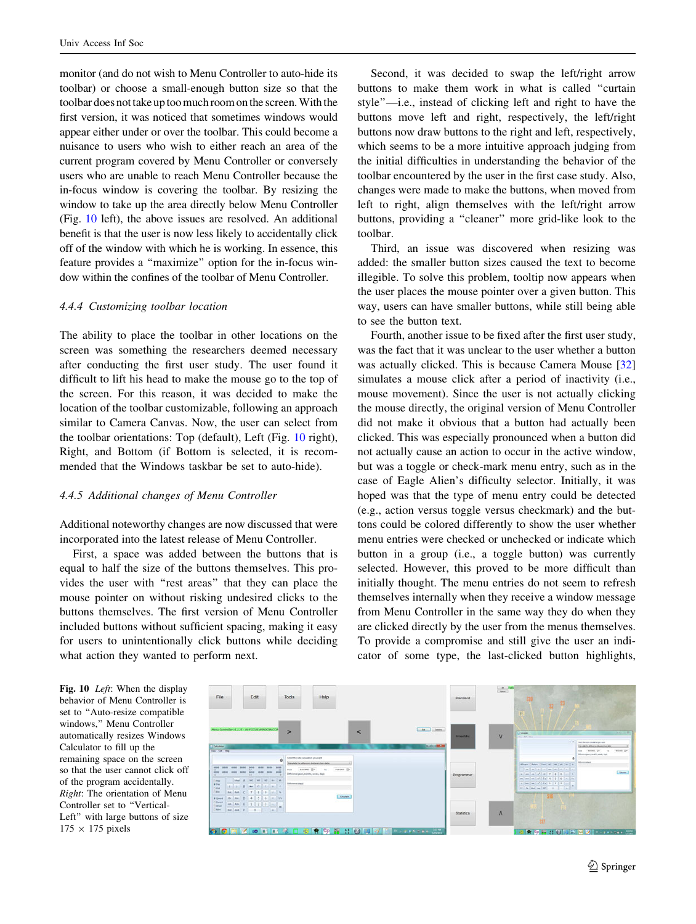<span id="page-12-0"></span>monitor (and do not wish to Menu Controller to auto-hide its toolbar) or choose a small-enough button size so that the toolbar does not take up too much room on the screen. With the first version, it was noticed that sometimes windows would appear either under or over the toolbar. This could become a nuisance to users who wish to either reach an area of the current program covered by Menu Controller or conversely users who are unable to reach Menu Controller because the in-focus window is covering the toolbar. By resizing the window to take up the area directly below Menu Controller (Fig. 10 left), the above issues are resolved. An additional benefit is that the user is now less likely to accidentally click off of the window with which he is working. In essence, this feature provides a ''maximize'' option for the in-focus window within the confines of the toolbar of Menu Controller.

#### 4.4.4 Customizing toolbar location

The ability to place the toolbar in other locations on the screen was something the researchers deemed necessary after conducting the first user study. The user found it difficult to lift his head to make the mouse go to the top of the screen. For this reason, it was decided to make the location of the toolbar customizable, following an approach similar to Camera Canvas. Now, the user can select from the toolbar orientations: Top (default), Left (Fig. 10 right), Right, and Bottom (if Bottom is selected, it is recommended that the Windows taskbar be set to auto-hide).

#### 4.4.5 Additional changes of Menu Controller

Additional noteworthy changes are now discussed that were incorporated into the latest release of Menu Controller.

First, a space was added between the buttons that is equal to half the size of the buttons themselves. This provides the user with ''rest areas'' that they can place the mouse pointer on without risking undesired clicks to the buttons themselves. The first version of Menu Controller included buttons without sufficient spacing, making it easy for users to unintentionally click buttons while deciding what action they wanted to perform next.

Second, it was decided to swap the left/right arrow buttons to make them work in what is called ''curtain style''—i.e., instead of clicking left and right to have the buttons move left and right, respectively, the left/right buttons now draw buttons to the right and left, respectively, which seems to be a more intuitive approach judging from the initial difficulties in understanding the behavior of the toolbar encountered by the user in the first case study. Also, changes were made to make the buttons, when moved from left to right, align themselves with the left/right arrow buttons, providing a ''cleaner'' more grid-like look to the toolbar.

Third, an issue was discovered when resizing was added: the smaller button sizes caused the text to become illegible. To solve this problem, tooltip now appears when the user places the mouse pointer over a given button. This way, users can have smaller buttons, while still being able to see the button text.

Fourth, another issue to be fixed after the first user study, was the fact that it was unclear to the user whether a button was actually clicked. This is because Camera Mouse [[32\]](#page-16-0) simulates a mouse click after a period of inactivity (i.e., mouse movement). Since the user is not actually clicking the mouse directly, the original version of Menu Controller did not make it obvious that a button had actually been clicked. This was especially pronounced when a button did not actually cause an action to occur in the active window, but was a toggle or check-mark menu entry, such as in the case of Eagle Alien's difficulty selector. Initially, it was hoped was that the type of menu entry could be detected (e.g., action versus toggle versus checkmark) and the buttons could be colored differently to show the user whether menu entries were checked or unchecked or indicate which button in a group (i.e., a toggle button) was currently selected. However, this proved to be more difficult than initially thought. The menu entries do not seem to refresh themselves internally when they receive a window message from Menu Controller in the same way they do when they are clicked directly by the user from the menus themselves. To provide a compromise and still give the user an indicator of some type, the last-clicked button highlights,

Fig. 10 Left: When the display behavior of Menu Controller is set to ''Auto-resize compatible windows,'' Menu Controller automatically resizes Windows Calculator to fill up the remaining space on the screen so that the user cannot click off of the program accidentally. Right: The orientation of Menu Controller set to ''Vertical-Left'' with large buttons of size  $175 \times 175$  pixels

| File<br>Edit                                                                                                                                                                                                                                                      | Help<br>Tools                                                                       | $\sim$<br>Standard                                      |                                                                                                                                                                            |
|-------------------------------------------------------------------------------------------------------------------------------------------------------------------------------------------------------------------------------------------------------------------|-------------------------------------------------------------------------------------|---------------------------------------------------------|----------------------------------------------------------------------------------------------------------------------------------------------------------------------------|
| New Controller v1.1.25 - IN-FOCUS WINDOW COR<br><b>Calculator</b>                                                                                                                                                                                                 | $\geq$<br>$\epsilon$                                                                | <b>De Conve</b><br>v<br>Scientific<br><b>STATISTICS</b> | <b>Turcasta</b><br>Dec 20, 194<br>A. A. Lincoln on a strange set-<br>This computer deliver to define the link                                                              |
| <b>Ver SAN Hole</b><br>A                                                                                                                                                                                                                                          | select the data calculation you ment<br>Calculate the Afforement befores then dates |                                                         | Asketer, Chr.<br>from Ankello, Cir. In<br>Striven part, modificants, real<br><b>Difference allows</b>                                                                      |
| C-Hee                                                                                                                                                                                                                                                             | assess (i+)<br>stams (2+<br>Pravel .<br>Difference bears, months, weeks, days:      | Programmer                                              | Winger: Chaten: Clien, all Lea.<br>iministricial sistema<br>Lines.<br>$m$ (and $m$ ) $a^2$ ( $m$ ) $7$ ) $8$ ) $8$ ( $11$ ) $4$<br>$[4n][4n][4n][4^n][2n] + [5][4][n][4n]$ |
| $rac{40}{1000}$<br>$\left  \cdot \right $ $\left  \cdot \right $ $\left  \cdot \right $ $\left  \cdot \right $ $\left  \cdot \right $ $\left  \cdot \right $<br>Cities.<br><b>An Ad C 7 8 9 4 4</b><br>$0$   $10$   $0$   $4$   $5$   $6$   $8$   $10$<br>W Georg | <b>Difference Lines</b><br><b>Calculate</b>                                         |                                                         | of the last reclar by a complete the                                                                                                                                       |
| C Deset<br>$ 100 $ $ 100 $ $ 11 $ $ 20 $ $ 30 $ $ 300 $ $ 100 $<br>$\Box$ Rules<br>max and F G C C C C                                                                                                                                                            |                                                                                     | $\Lambda$<br><b>Statatics</b>                           |                                                                                                                                                                            |
|                                                                                                                                                                                                                                                                   | <b>8 6 8 8 6 8 8 9 8 9 8 8 9 9 7</b>                                                | <b>BERTHDAY AND STREET</b>                              | <b>REFIDERED E</b>                                                                                                                                                         |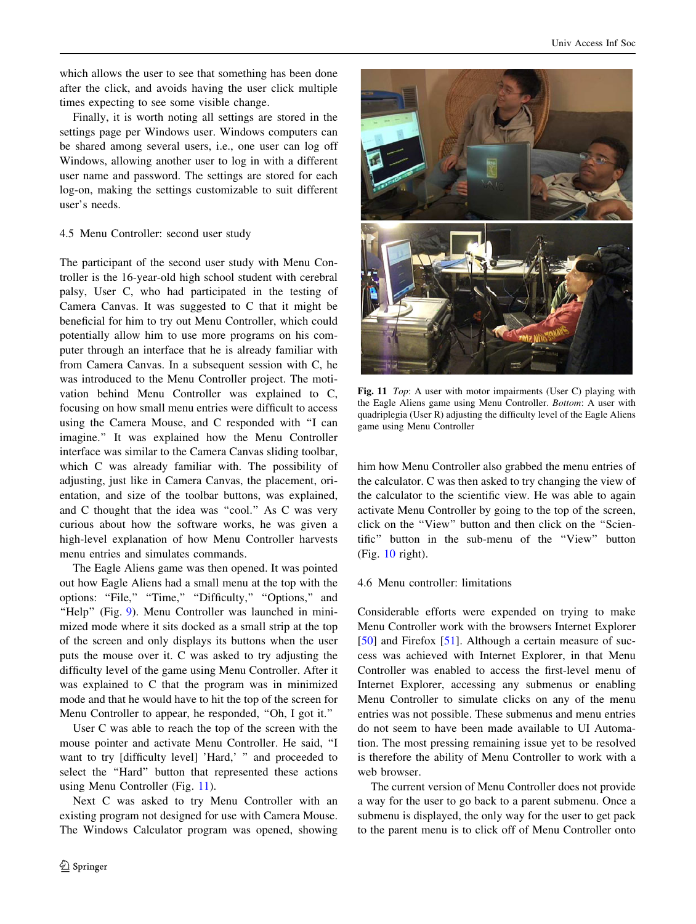which allows the user to see that something has been done after the click, and avoids having the user click multiple times expecting to see some visible change.

Finally, it is worth noting all settings are stored in the settings page per Windows user. Windows computers can be shared among several users, i.e., one user can log off Windows, allowing another user to log in with a different user name and password. The settings are stored for each log-on, making the settings customizable to suit different user's needs.

## 4.5 Menu Controller: second user study

The participant of the second user study with Menu Controller is the 16-year-old high school student with cerebral palsy, User C, who had participated in the testing of Camera Canvas. It was suggested to C that it might be beneficial for him to try out Menu Controller, which could potentially allow him to use more programs on his computer through an interface that he is already familiar with from Camera Canvas. In a subsequent session with C, he was introduced to the Menu Controller project. The motivation behind Menu Controller was explained to C, focusing on how small menu entries were difficult to access using the Camera Mouse, and C responded with ''I can imagine.'' It was explained how the Menu Controller interface was similar to the Camera Canvas sliding toolbar, which C was already familiar with. The possibility of adjusting, just like in Camera Canvas, the placement, orientation, and size of the toolbar buttons, was explained, and C thought that the idea was ''cool.'' As C was very curious about how the software works, he was given a high-level explanation of how Menu Controller harvests menu entries and simulates commands.

The Eagle Aliens game was then opened. It was pointed out how Eagle Aliens had a small menu at the top with the options: "File," "Time," "Difficulty," "Options," and "Help" (Fig. [9\)](#page-11-0). Menu Controller was launched in minimized mode where it sits docked as a small strip at the top of the screen and only displays its buttons when the user puts the mouse over it. C was asked to try adjusting the difficulty level of the game using Menu Controller. After it was explained to C that the program was in minimized mode and that he would have to hit the top of the screen for Menu Controller to appear, he responded, "Oh, I got it."

User C was able to reach the top of the screen with the mouse pointer and activate Menu Controller. He said, ''I want to try [difficulty level] 'Hard,' " and proceeded to select the ''Hard'' button that represented these actions using Menu Controller (Fig. 11).

Next C was asked to try Menu Controller with an existing program not designed for use with Camera Mouse. The Windows Calculator program was opened, showing



Fig. 11 Top: A user with motor impairments (User C) playing with the Eagle Aliens game using Menu Controller. Bottom: A user with quadriplegia (User R) adjusting the difficulty level of the Eagle Aliens game using Menu Controller

him how Menu Controller also grabbed the menu entries of the calculator. C was then asked to try changing the view of the calculator to the scientific view. He was able to again activate Menu Controller by going to the top of the screen, click on the ''View'' button and then click on the ''Scientific'' button in the sub-menu of the ''View'' button (Fig. [10](#page-12-0) right).

## 4.6 Menu controller: limitations

Considerable efforts were expended on trying to make Menu Controller work with the browsers Internet Explorer [\[50](#page-17-0)] and Firefox [\[51](#page-17-0)]. Although a certain measure of success was achieved with Internet Explorer, in that Menu Controller was enabled to access the first-level menu of Internet Explorer, accessing any submenus or enabling Menu Controller to simulate clicks on any of the menu entries was not possible. These submenus and menu entries do not seem to have been made available to UI Automation. The most pressing remaining issue yet to be resolved is therefore the ability of Menu Controller to work with a web browser.

The current version of Menu Controller does not provide a way for the user to go back to a parent submenu. Once a submenu is displayed, the only way for the user to get pack to the parent menu is to click off of Menu Controller onto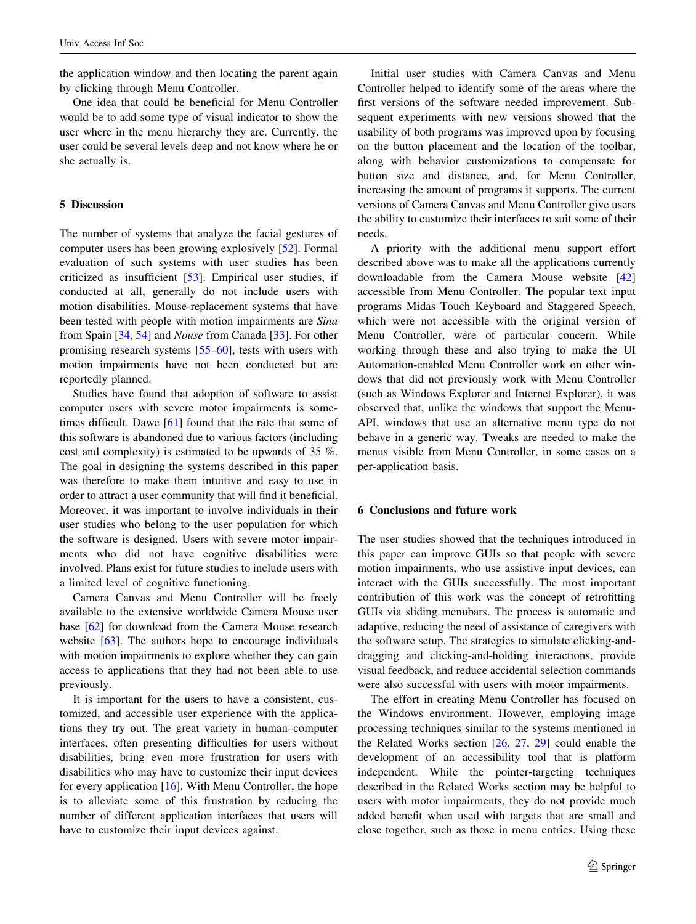the application window and then locating the parent again by clicking through Menu Controller.

One idea that could be beneficial for Menu Controller would be to add some type of visual indicator to show the user where in the menu hierarchy they are. Currently, the user could be several levels deep and not know where he or she actually is.

## 5 Discussion

The number of systems that analyze the facial gestures of computer users has been growing explosively [[52\]](#page-17-0). Formal evaluation of such systems with user studies has been criticized as insufficient [\[53](#page-17-0)]. Empirical user studies, if conducted at all, generally do not include users with motion disabilities. Mouse-replacement systems that have been tested with people with motion impairments are Sina from Spain [\[34](#page-16-0), [54](#page-17-0)] and Nouse from Canada [\[33](#page-16-0)]. For other promising research systems [\[55–60](#page-17-0)], tests with users with motion impairments have not been conducted but are reportedly planned.

Studies have found that adoption of software to assist computer users with severe motor impairments is sometimes difficult. Dawe [\[61](#page-17-0)] found that the rate that some of this software is abandoned due to various factors (including cost and complexity) is estimated to be upwards of 35 %. The goal in designing the systems described in this paper was therefore to make them intuitive and easy to use in order to attract a user community that will find it beneficial. Moreover, it was important to involve individuals in their user studies who belong to the user population for which the software is designed. Users with severe motor impairments who did not have cognitive disabilities were involved. Plans exist for future studies to include users with a limited level of cognitive functioning.

Camera Canvas and Menu Controller will be freely available to the extensive worldwide Camera Mouse user base [[62\]](#page-17-0) for download from the Camera Mouse research website [\[63](#page-17-0)]. The authors hope to encourage individuals with motion impairments to explore whether they can gain access to applications that they had not been able to use previously.

It is important for the users to have a consistent, customized, and accessible user experience with the applications they try out. The great variety in human–computer interfaces, often presenting difficulties for users without disabilities, bring even more frustration for users with disabilities who may have to customize their input devices for every application [[16\]](#page-16-0). With Menu Controller, the hope is to alleviate some of this frustration by reducing the number of different application interfaces that users will have to customize their input devices against.

Initial user studies with Camera Canvas and Menu Controller helped to identify some of the areas where the first versions of the software needed improvement. Subsequent experiments with new versions showed that the usability of both programs was improved upon by focusing on the button placement and the location of the toolbar, along with behavior customizations to compensate for button size and distance, and, for Menu Controller, increasing the amount of programs it supports. The current versions of Camera Canvas and Menu Controller give users the ability to customize their interfaces to suit some of their needs.

A priority with the additional menu support effort described above was to make all the applications currently downloadable from the Camera Mouse website [[42\]](#page-16-0) accessible from Menu Controller. The popular text input programs Midas Touch Keyboard and Staggered Speech, which were not accessible with the original version of Menu Controller, were of particular concern. While working through these and also trying to make the UI Automation-enabled Menu Controller work on other windows that did not previously work with Menu Controller (such as Windows Explorer and Internet Explorer), it was observed that, unlike the windows that support the Menu-API, windows that use an alternative menu type do not behave in a generic way. Tweaks are needed to make the menus visible from Menu Controller, in some cases on a per-application basis.

#### 6 Conclusions and future work

The user studies showed that the techniques introduced in this paper can improve GUIs so that people with severe motion impairments, who use assistive input devices, can interact with the GUIs successfully. The most important contribution of this work was the concept of retrofitting GUIs via sliding menubars. The process is automatic and adaptive, reducing the need of assistance of caregivers with the software setup. The strategies to simulate clicking-anddragging and clicking-and-holding interactions, provide visual feedback, and reduce accidental selection commands were also successful with users with motor impairments.

The effort in creating Menu Controller has focused on the Windows environment. However, employing image processing techniques similar to the systems mentioned in the Related Works section [\[26](#page-16-0), [27,](#page-16-0) [29\]](#page-16-0) could enable the development of an accessibility tool that is platform independent. While the pointer-targeting techniques described in the Related Works section may be helpful to users with motor impairments, they do not provide much added benefit when used with targets that are small and close together, such as those in menu entries. Using these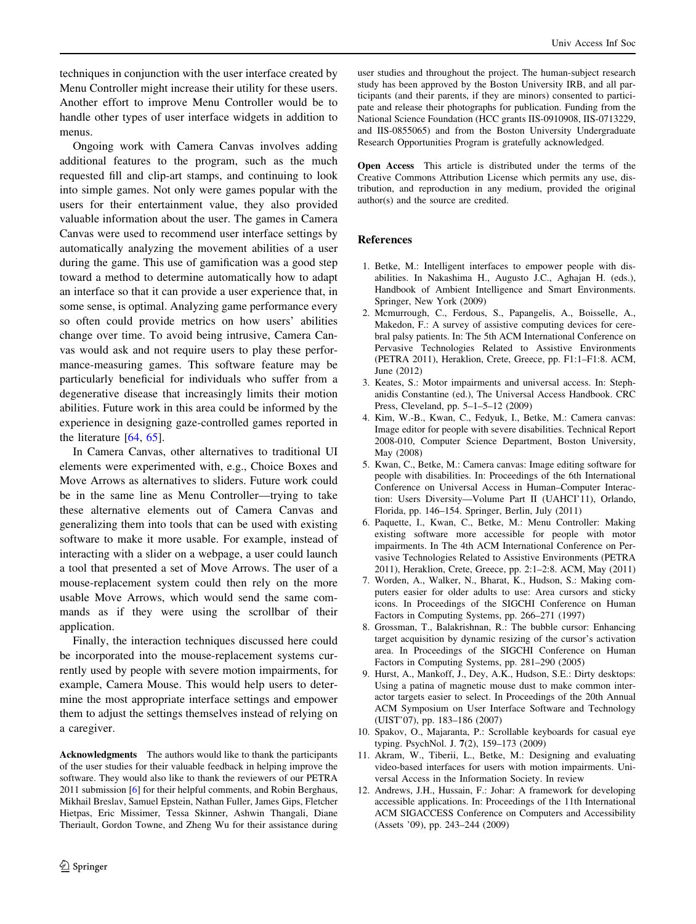<span id="page-15-0"></span>techniques in conjunction with the user interface created by Menu Controller might increase their utility for these users. Another effort to improve Menu Controller would be to handle other types of user interface widgets in addition to menus.

Ongoing work with Camera Canvas involves adding additional features to the program, such as the much requested fill and clip-art stamps, and continuing to look into simple games. Not only were games popular with the users for their entertainment value, they also provided valuable information about the user. The games in Camera Canvas were used to recommend user interface settings by automatically analyzing the movement abilities of a user during the game. This use of gamification was a good step toward a method to determine automatically how to adapt an interface so that it can provide a user experience that, in some sense, is optimal. Analyzing game performance every so often could provide metrics on how users' abilities change over time. To avoid being intrusive, Camera Canvas would ask and not require users to play these performance-measuring games. This software feature may be particularly beneficial for individuals who suffer from a degenerative disease that increasingly limits their motion abilities. Future work in this area could be informed by the experience in designing gaze-controlled games reported in the literature [[64,](#page-17-0) [65](#page-17-0)].

In Camera Canvas, other alternatives to traditional UI elements were experimented with, e.g., Choice Boxes and Move Arrows as alternatives to sliders. Future work could be in the same line as Menu Controller—trying to take these alternative elements out of Camera Canvas and generalizing them into tools that can be used with existing software to make it more usable. For example, instead of interacting with a slider on a webpage, a user could launch a tool that presented a set of Move Arrows. The user of a mouse-replacement system could then rely on the more usable Move Arrows, which would send the same commands as if they were using the scrollbar of their application.

Finally, the interaction techniques discussed here could be incorporated into the mouse-replacement systems currently used by people with severe motion impairments, for example, Camera Mouse. This would help users to determine the most appropriate interface settings and empower them to adjust the settings themselves instead of relying on a caregiver.

Acknowledgments The authors would like to thank the participants of the user studies for their valuable feedback in helping improve the software. They would also like to thank the reviewers of our PETRA 2011 submission [6] for their helpful comments, and Robin Berghaus, Mikhail Breslav, Samuel Epstein, Nathan Fuller, James Gips, Fletcher Hietpas, Eric Missimer, Tessa Skinner, Ashwin Thangali, Diane Theriault, Gordon Towne, and Zheng Wu for their assistance during

user studies and throughout the project. The human-subject research study has been approved by the Boston University IRB, and all participants (and their parents, if they are minors) consented to participate and release their photographs for publication. Funding from the National Science Foundation (HCC grants IIS-0910908, IIS-0713229, and IIS-0855065) and from the Boston University Undergraduate Research Opportunities Program is gratefully acknowledged.

Open Access This article is distributed under the terms of the Creative Commons Attribution License which permits any use, distribution, and reproduction in any medium, provided the original author(s) and the source are credited.

#### References

- 1. Betke, M.: Intelligent interfaces to empower people with disabilities. In Nakashima H., Augusto J.C., Aghajan H. (eds.), Handbook of Ambient Intelligence and Smart Environments. Springer, New York (2009)
- 2. Mcmurrough, C., Ferdous, S., Papangelis, A., Boisselle, A., Makedon, F.: A survey of assistive computing devices for cerebral palsy patients. In: The 5th ACM International Conference on Pervasive Technologies Related to Assistive Environments (PETRA 2011), Heraklion, Crete, Greece, pp. F1:1–F1:8. ACM, June (2012)
- 3. Keates, S.: Motor impairments and universal access. In: Stephanidis Constantine (ed.), The Universal Access Handbook. CRC Press, Cleveland, pp. 5–1–5–12 (2009)
- 4. Kim, W.-B., Kwan, C., Fedyuk, I., Betke, M.: Camera canvas: Image editor for people with severe disabilities. Technical Report 2008-010, Computer Science Department, Boston University, May (2008)
- 5. Kwan, C., Betke, M.: Camera canvas: Image editing software for people with disabilities. In: Proceedings of the 6th International Conference on Universal Access in Human–Computer Interaction: Users Diversity—Volume Part II (UAHCI'11), Orlando, Florida, pp. 146–154. Springer, Berlin, July (2011)
- 6. Paquette, I., Kwan, C., Betke, M.: Menu Controller: Making existing software more accessible for people with motor impairments. In The 4th ACM International Conference on Pervasive Technologies Related to Assistive Environments (PETRA 2011), Heraklion, Crete, Greece, pp. 2:1–2:8. ACM, May (2011)
- 7. Worden, A., Walker, N., Bharat, K., Hudson, S.: Making computers easier for older adults to use: Area cursors and sticky icons. In Proceedings of the SIGCHI Conference on Human Factors in Computing Systems, pp. 266–271 (1997)
- 8. Grossman, T., Balakrishnan, R.: The bubble cursor: Enhancing target acquisition by dynamic resizing of the cursor's activation area. In Proceedings of the SIGCHI Conference on Human Factors in Computing Systems, pp. 281–290 (2005)
- 9. Hurst, A., Mankoff, J., Dey, A.K., Hudson, S.E.: Dirty desktops: Using a patina of magnetic mouse dust to make common interactor targets easier to select. In Proceedings of the 20th Annual ACM Symposium on User Interface Software and Technology (UIST'07), pp. 183–186 (2007)
- 10. Spakov, O., Majaranta, P.: Scrollable keyboards for casual eye typing. PsychNol. J. 7(2), 159–173 (2009)
- 11. Akram, W., Tiberii, L., Betke, M.: Designing and evaluating video-based interfaces for users with motion impairments. Universal Access in the Information Society. In review
- 12. Andrews, J.H., Hussain, F.: Johar: A framework for developing accessible applications. In: Proceedings of the 11th International ACM SIGACCESS Conference on Computers and Accessibility (Assets '09), pp. 243–244 (2009)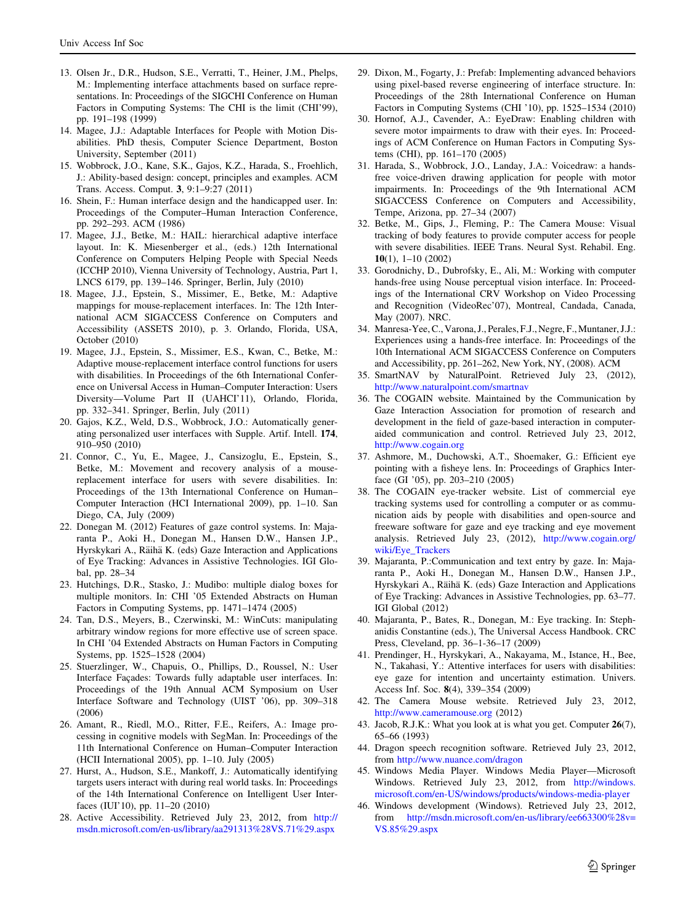- <span id="page-16-0"></span>13. Olsen Jr., D.R., Hudson, S.E., Verratti, T., Heiner, J.M., Phelps, M.: Implementing interface attachments based on surface representations. In: Proceedings of the SIGCHI Conference on Human Factors in Computing Systems: The CHI is the limit (CHI'99), pp. 191–198 (1999)
- 14. Magee, J.J.: Adaptable Interfaces for People with Motion Disabilities. PhD thesis, Computer Science Department, Boston University, September (2011)
- 15. Wobbrock, J.O., Kane, S.K., Gajos, K.Z., Harada, S., Froehlich, J.: Ability-based design: concept, principles and examples. ACM Trans. Access. Comput. 3, 9:1–9:27 (2011)
- 16. Shein, F.: Human interface design and the handicapped user. In: Proceedings of the Computer–Human Interaction Conference, pp. 292–293. ACM (1986)
- 17. Magee, J.J., Betke, M.: HAIL: hierarchical adaptive interface layout. In: K. Miesenberger et al., (eds.) 12th International Conference on Computers Helping People with Special Needs (ICCHP 2010), Vienna University of Technology, Austria, Part 1, LNCS 6179, pp. 139–146. Springer, Berlin, July (2010)
- 18. Magee, J.J., Epstein, S., Missimer, E., Betke, M.: Adaptive mappings for mouse-replacement interfaces. In: The 12th International ACM SIGACCESS Conference on Computers and Accessibility (ASSETS 2010), p. 3. Orlando, Florida, USA, October (2010)
- 19. Magee, J.J., Epstein, S., Missimer, E.S., Kwan, C., Betke, M.: Adaptive mouse-replacement interface control functions for users with disabilities. In Proceedings of the 6th International Conference on Universal Access in Human–Computer Interaction: Users Diversity—Volume Part II (UAHCI'11), Orlando, Florida, pp. 332–341. Springer, Berlin, July (2011)
- 20. Gajos, K.Z., Weld, D.S., Wobbrock, J.O.: Automatically generating personalized user interfaces with Supple. Artif. Intell. 174, 910–950 (2010)
- 21. Connor, C., Yu, E., Magee, J., Cansizoglu, E., Epstein, S., Betke, M.: Movement and recovery analysis of a mousereplacement interface for users with severe disabilities. In: Proceedings of the 13th International Conference on Human– Computer Interaction (HCI International 2009), pp. 1–10. San Diego, CA, July (2009)
- 22. Donegan M. (2012) Features of gaze control systems. In: Majaranta P., Aoki H., Donegan M., Hansen D.W., Hansen J.P., Hyrskykari A., Räihä K. (eds) Gaze Interaction and Applications of Eye Tracking: Advances in Assistive Technologies. IGI Global, pp. 28–34
- 23. Hutchings, D.R., Stasko, J.: Mudibo: multiple dialog boxes for multiple monitors. In: CHI '05 Extended Abstracts on Human Factors in Computing Systems, pp. 1471–1474 (2005)
- 24. Tan, D.S., Meyers, B., Czerwinski, M.: WinCuts: manipulating arbitrary window regions for more effective use of screen space. In CHI '04 Extended Abstracts on Human Factors in Computing Systems, pp. 1525–1528 (2004)
- 25. Stuerzlinger, W., Chapuis, O., Phillips, D., Roussel, N.: User Interface Façades: Towards fully adaptable user interfaces. In: Proceedings of the 19th Annual ACM Symposium on User Interface Software and Technology (UIST '06), pp. 309–318 (2006)
- 26. Amant, R., Riedl, M.O., Ritter, F.E., Reifers, A.: Image processing in cognitive models with SegMan. In: Proceedings of the 11th International Conference on Human–Computer Interaction (HCII International 2005), pp. 1–10. July (2005)
- 27. Hurst, A., Hudson, S.E., Mankoff, J.: Automatically identifying targets users interact with during real world tasks. In: Proceedings of the 14th International Conference on Intelligent User Interfaces (IUI'10), pp. 11–20 (2010)
- 28. Active Accessibility. Retrieved July 23, 2012, from [http://](http://msdn.microsoft.com/en-us/library/aa291313%28VS.71%29.aspx) [msdn.microsoft.com/en-us/library/aa291313%28VS.71%29.aspx](http://msdn.microsoft.com/en-us/library/aa291313%28VS.71%29.aspx)
- 29. Dixon, M., Fogarty, J.: Prefab: Implementing advanced behaviors using pixel-based reverse engineering of interface structure. In: Proceedings of the 28th International Conference on Human Factors in Computing Systems (CHI '10), pp. 1525–1534 (2010)
- 30. Hornof, A.J., Cavender, A.: EyeDraw: Enabling children with severe motor impairments to draw with their eyes. In: Proceedings of ACM Conference on Human Factors in Computing Systems (CHI), pp. 161–170 (2005)
- 31. Harada, S., Wobbrock, J.O., Landay, J.A.: Voicedraw: a handsfree voice-driven drawing application for people with motor impairments. In: Proceedings of the 9th International ACM SIGACCESS Conference on Computers and Accessibility, Tempe, Arizona, pp. 27–34 (2007)
- 32. Betke, M., Gips, J., Fleming, P.: The Camera Mouse: Visual tracking of body features to provide computer access for people with severe disabilities. IEEE Trans. Neural Syst. Rehabil. Eng. 10(1), 1–10 (2002)
- 33. Gorodnichy, D., Dubrofsky, E., Ali, M.: Working with computer hands-free using Nouse perceptual vision interface. In: Proceedings of the International CRV Workshop on Video Processing and Recognition (VideoRec'07), Montreal, Candada, Canada, May (2007). NRC.
- 34. Manresa-Yee, C., Varona, J., Perales, F.J., Negre, F., Muntaner, J.J.: Experiences using a hands-free interface. In: Proceedings of the 10th International ACM SIGACCESS Conference on Computers and Accessibility, pp. 261–262, New York, NY, (2008). ACM
- 35. SmartNAV by NaturalPoint. Retrieved July 23, (2012), <http://www.naturalpoint.com/smartnav>
- 36. The COGAIN website. Maintained by the Communication by Gaze Interaction Association for promotion of research and development in the field of gaze-based interaction in computeraided communication and control. Retrieved July 23, 2012, <http://www.cogain.org>
- 37. Ashmore, M., Duchowski, A.T., Shoemaker, G.: Efficient eye pointing with a fisheye lens. In: Proceedings of Graphics Interface (GI '05), pp. 203–210 (2005)
- 38. The COGAIN eye-tracker website. List of commercial eye tracking systems used for controlling a computer or as communication aids by people with disabilities and open-source and freeware software for gaze and eye tracking and eye movement analysis. Retrieved July 23, (2012), [http://www.cogain.org/](http://www.cogain.org/wiki/Eye_Trackers) [wiki/Eye\\_Trackers](http://www.cogain.org/wiki/Eye_Trackers)
- 39. Majaranta, P.:Communication and text entry by gaze. In: Majaranta P., Aoki H., Donegan M., Hansen D.W., Hansen J.P., Hyrskykari A., Räihä K. (eds) Gaze Interaction and Applications of Eye Tracking: Advances in Assistive Technologies, pp. 63–77. IGI Global (2012)
- 40. Majaranta, P., Bates, R., Donegan, M.: Eye tracking. In: Stephanidis Constantine (eds.), The Universal Access Handbook. CRC Press, Cleveland, pp. 36–1-36–17 (2009)
- 41. Prendinger, H., Hyrskykari, A., Nakayama, M., Istance, H., Bee, N., Takahasi, Y.: Attentive interfaces for users with disabilities: eye gaze for intention and uncertainty estimation. Univers. Access Inf. Soc. 8(4), 339–354 (2009)
- 42. The Camera Mouse website. Retrieved July 23, 2012, <http://www.cameramouse.org> (2012)
- 43. Jacob, R.J.K.: What you look at is what you get. Computer 26(7), 65–66 (1993)
- 44. Dragon speech recognition software. Retrieved July 23, 2012, from <http://www.nuance.com/dragon>
- 45. Windows Media Player. Windows Media Player—Microsoft Windows. Retrieved July 23, 2012, from [http://windows.](http://windows.microsoft.com/en-US/windows/products/windows-media-player) [microsoft.com/en-US/windows/products/windows-media-player](http://windows.microsoft.com/en-US/windows/products/windows-media-player)
- 46. Windows development (Windows). Retrieved July 23, 2012, from [http://msdn.microsoft.com/en-us/library/ee663300%28v=](http://msdn.microsoft.com/en-us/library/ee663300%28v=VS.85%29.aspx) [VS.85%29.aspx](http://msdn.microsoft.com/en-us/library/ee663300%28v=VS.85%29.aspx)